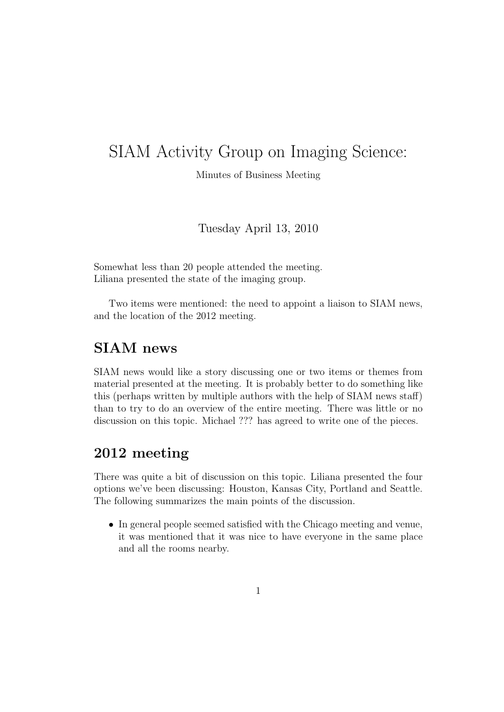## SIAM Activity Group on Imaging Science:

Minutes of Business Meeting

Tuesday April 13, 2010

Somewhat less than 20 people attended the meeting. Liliana presented the state of the imaging group.

Two items were mentioned: the need to appoint a liaison to SIAM news, and the location of the 2012 meeting.

## SIAM news

SIAM news would like a story discussing one or two items or themes from material presented at the meeting. It is probably better to do something like this (perhaps written by multiple authors with the help of SIAM news staff) than to try to do an overview of the entire meeting. There was little or no discussion on this topic. Michael ??? has agreed to write one of the pieces.

## 2012 meeting

There was quite a bit of discussion on this topic. Liliana presented the four options we've been discussing: Houston, Kansas City, Portland and Seattle. The following summarizes the main points of the discussion.

• In general people seemed satisfied with the Chicago meeting and venue, it was mentioned that it was nice to have everyone in the same place and all the rooms nearby.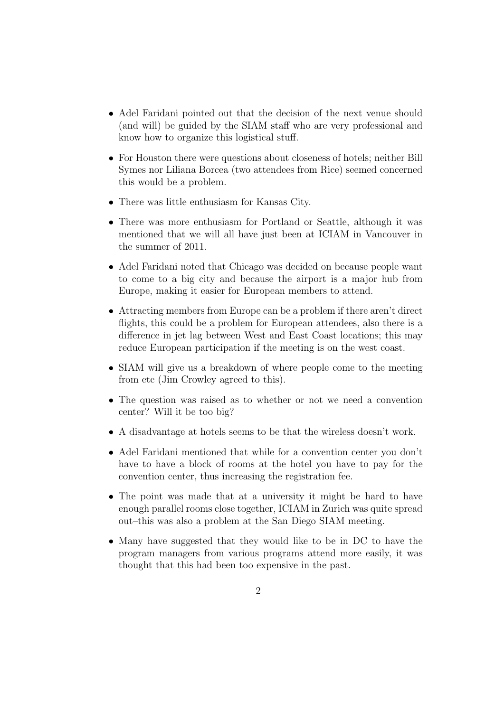- Adel Faridani pointed out that the decision of the next venue should (and will) be guided by the SIAM staff who are very professional and know how to organize this logistical stuff.
- For Houston there were questions about closeness of hotels; neither Bill Symes nor Liliana Borcea (two attendees from Rice) seemed concerned this would be a problem.
- There was little enthusiasm for Kansas City.
- There was more enthusiasm for Portland or Seattle, although it was mentioned that we will all have just been at ICIAM in Vancouver in the summer of 2011.
- Adel Faridani noted that Chicago was decided on because people want to come to a big city and because the airport is a major hub from Europe, making it easier for European members to attend.
- Attracting members from Europe can be a problem if there aren't direct flights, this could be a problem for European attendees, also there is a difference in jet lag between West and East Coast locations; this may reduce European participation if the meeting is on the west coast.
- SIAM will give us a breakdown of where people come to the meeting from etc (Jim Crowley agreed to this).
- The question was raised as to whether or not we need a convention center? Will it be too big?
- A disadvantage at hotels seems to be that the wireless doesn't work.
- Adel Faridani mentioned that while for a convention center you don't have to have a block of rooms at the hotel you have to pay for the convention center, thus increasing the registration fee.
- The point was made that at a university it might be hard to have enough parallel rooms close together, ICIAM in Zurich was quite spread out–this was also a problem at the San Diego SIAM meeting.
- Many have suggested that they would like to be in DC to have the program managers from various programs attend more easily, it was thought that this had been too expensive in the past.